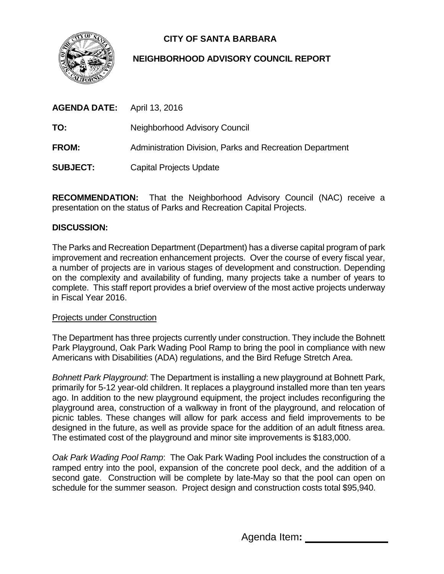

# **CITY OF SANTA BARBARA**

## **NEIGHBORHOOD ADVISORY COUNCIL REPORT**

| <b>AGENDA DATE:</b> April 13, 2016 |                                                          |
|------------------------------------|----------------------------------------------------------|
| TO:                                | Neighborhood Advisory Council                            |
| <b>FROM:</b>                       | Administration Division, Parks and Recreation Department |
| <b>SUBJECT:</b>                    | <b>Capital Projects Update</b>                           |
|                                    |                                                          |

**RECOMMENDATION:** That the Neighborhood Advisory Council (NAC) receive a presentation on the status of Parks and Recreation Capital Projects.

## **DISCUSSION:**

The Parks and Recreation Department (Department) has a diverse capital program of park improvement and recreation enhancement projects. Over the course of every fiscal year, a number of projects are in various stages of development and construction. Depending on the complexity and availability of funding, many projects take a number of years to complete. This staff report provides a brief overview of the most active projects underway in Fiscal Year 2016.

### Projects under Construction

The Department has three projects currently under construction. They include the Bohnett Park Playground, Oak Park Wading Pool Ramp to bring the pool in compliance with new Americans with Disabilities (ADA) regulations, and the Bird Refuge Stretch Area.

*Bohnett Park Playground*: The Department is installing a new playground at Bohnett Park, primarily for 5-12 year-old children. It replaces a playground installed more than ten years ago. In addition to the new playground equipment, the project includes reconfiguring the playground area, construction of a walkway in front of the playground, and relocation of picnic tables. These changes will allow for park access and field improvements to be designed in the future, as well as provide space for the addition of an adult fitness area. The estimated cost of the playground and minor site improvements is \$183,000.

*Oak Park Wading Pool Ramp*: The Oak Park Wading Pool includes the construction of a ramped entry into the pool, expansion of the concrete pool deck, and the addition of a second gate. Construction will be complete by late-May so that the pool can open on schedule for the summer season. Project design and construction costs total \$95,940.

Agenda Item**:**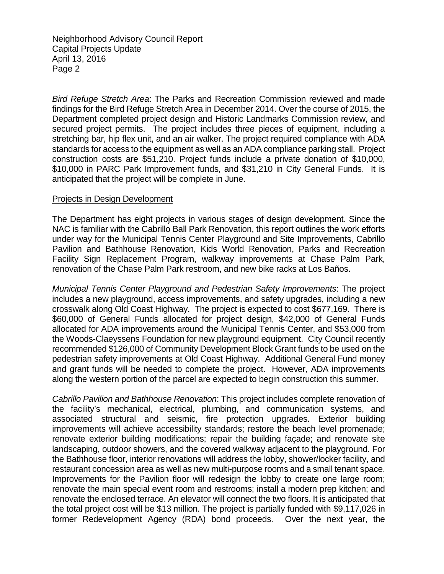*Bird Refuge Stretch Area*: The Parks and Recreation Commission reviewed and made findings for the Bird Refuge Stretch Area in December 2014. Over the course of 2015, the Department completed project design and Historic Landmarks Commission review, and secured project permits. The project includes three pieces of equipment, including a stretching bar, hip flex unit, and an air walker. The project required compliance with ADA standards for access to the equipment as well as an ADA compliance parking stall. Project construction costs are \$51,210. Project funds include a private donation of \$10,000, \$10,000 in PARC Park Improvement funds, and \$31,210 in City General Funds. It is anticipated that the project will be complete in June.

#### Projects in Design Development

The Department has eight projects in various stages of design development. Since the NAC is familiar with the Cabrillo Ball Park Renovation, this report outlines the work efforts under way for the Municipal Tennis Center Playground and Site Improvements, Cabrillo Pavilion and Bathhouse Renovation, Kids World Renovation, Parks and Recreation Facility Sign Replacement Program, walkway improvements at Chase Palm Park, renovation of the Chase Palm Park restroom, and new bike racks at Los Baños.

*Municipal Tennis Center Playground and Pedestrian Safety Improvements*: The project includes a new playground, access improvements, and safety upgrades, including a new crosswalk along Old Coast Highway. The project is expected to cost \$677,169. There is \$60,000 of General Funds allocated for project design, \$42,000 of General Funds allocated for ADA improvements around the Municipal Tennis Center, and \$53,000 from the Woods-Claeyssens Foundation for new playground equipment. City Council recently recommended \$126,000 of Community Development Block Grant funds to be used on the pedestrian safety improvements at Old Coast Highway. Additional General Fund money and grant funds will be needed to complete the project. However, ADA improvements along the western portion of the parcel are expected to begin construction this summer.

*Cabrillo Pavilion and Bathhouse Renovation*: This project includes complete renovation of the facility's mechanical, electrical, plumbing, and communication systems, and associated structural and seismic, fire protection upgrades. Exterior building improvements will achieve accessibility standards; restore the beach level promenade; renovate exterior building modifications; repair the building façade; and renovate site landscaping, outdoor showers, and the covered walkway adjacent to the playground. For the Bathhouse floor, interior renovations will address the lobby, shower/locker facility, and restaurant concession area as well as new multi-purpose rooms and a small tenant space. Improvements for the Pavilion floor will redesign the lobby to create one large room; renovate the main special event room and restrooms; install a modern prep kitchen; and renovate the enclosed terrace. An elevator will connect the two floors. It is anticipated that the total project cost will be \$13 million. The project is partially funded with \$9,117,026 in former Redevelopment Agency (RDA) bond proceeds. Over the next year, the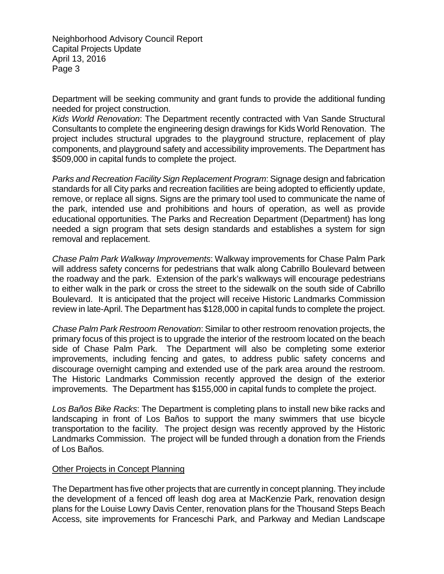Department will be seeking community and grant funds to provide the additional funding needed for project construction.

*Kids World Renovation*: The Department recently contracted with Van Sande Structural Consultants to complete the engineering design drawings for Kids World Renovation. The project includes structural upgrades to the playground structure, replacement of play components, and playground safety and accessibility improvements. The Department has \$509,000 in capital funds to complete the project.

*Parks and Recreation Facility Sign Replacement Program*: Signage design and fabrication standards for all City parks and recreation facilities are being adopted to efficiently update, remove, or replace all signs. Signs are the primary tool used to communicate the name of the park, intended use and prohibitions and hours of operation, as well as provide educational opportunities. The Parks and Recreation Department (Department) has long needed a sign program that sets design standards and establishes a system for sign removal and replacement.

*Chase Palm Park Walkway Improvements*: Walkway improvements for Chase Palm Park will address safety concerns for pedestrians that walk along Cabrillo Boulevard between the roadway and the park. Extension of the park's walkways will encourage pedestrians to either walk in the park or cross the street to the sidewalk on the south side of Cabrillo Boulevard. It is anticipated that the project will receive Historic Landmarks Commission review in late-April. The Department has \$128,000 in capital funds to complete the project.

*Chase Palm Park Restroom Renovation*: Similar to other restroom renovation projects, the primary focus of this project is to upgrade the interior of the restroom located on the beach side of Chase Palm Park. The Department will also be completing some exterior improvements, including fencing and gates, to address public safety concerns and discourage overnight camping and extended use of the park area around the restroom. The Historic Landmarks Commission recently approved the design of the exterior improvements. The Department has \$155,000 in capital funds to complete the project.

*Los Baños Bike Racks*: The Department is completing plans to install new bike racks and landscaping in front of Los Baños to support the many swimmers that use bicycle transportation to the facility. The project design was recently approved by the Historic Landmarks Commission. The project will be funded through a donation from the Friends of Los Baños.

#### Other Projects in Concept Planning

The Department has five other projects that are currently in concept planning. They include the development of a fenced off leash dog area at MacKenzie Park, renovation design plans for the Louise Lowry Davis Center, renovation plans for the Thousand Steps Beach Access, site improvements for Franceschi Park, and Parkway and Median Landscape